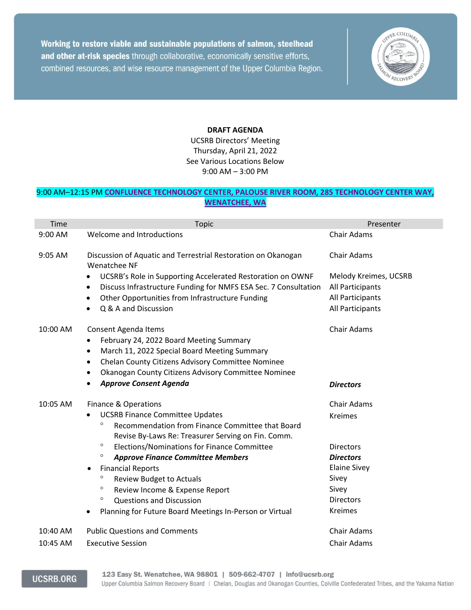Working to restore viable and sustainable populations of salmon, steelhead and other at-risk species through collaborative, economically sensitive efforts, combined resources, and wise resource management of the Upper Columbia Region.



## **DRAFT AGENDA**

UCSRB Directors' Meeting Thursday, April 21, 2022 See Various Locations Below 9:00 AM – 3:00 PM

## 9:00 AM–12:15 PM **[CONFLUENCE TECHNOLOGY CENTER, PALOUSE RIVER ROOM, 285 TECHNOLOGY CENTER WAY,](https://www.google.com/maps/place/Confluence+Technology+Center/@47.4635792,-120.3328564,17z/data=!3m1!4b1!4m5!3m4!1s0x549bcb0a4d0a7427:0xf0ca7acb1418c220!8m2!3d47.4637073!4d-120.3304921)  [WENATCHEE, WA](https://www.google.com/maps/place/Confluence+Technology+Center/@47.4635792,-120.3328564,17z/data=!3m1!4b1!4m5!3m4!1s0x549bcb0a4d0a7427:0xf0ca7acb1418c220!8m2!3d47.4637073!4d-120.3304921)**

| Time      | <b>Topic</b>                                                                                                      | Presenter                            |
|-----------|-------------------------------------------------------------------------------------------------------------------|--------------------------------------|
| 9:00 AM   | Welcome and Introductions                                                                                         | <b>Chair Adams</b>                   |
| $9:05$ AM | Discussion of Aquatic and Terrestrial Restoration on Okanogan<br><b>Wenatchee NF</b>                              | <b>Chair Adams</b>                   |
|           | UCSRB's Role in Supporting Accelerated Restoration on OWNF<br>$\bullet$                                           | Melody Kreimes, UCSRB                |
|           | Discuss Infrastructure Funding for NMFS ESA Sec. 7 Consultation<br>٠                                              | All Participants<br>All Participants |
|           | Other Opportunities from Infrastructure Funding<br>$\bullet$<br>Q & A and Discussion                              | All Participants                     |
|           |                                                                                                                   |                                      |
| 10:00 AM  | Consent Agenda Items                                                                                              | <b>Chair Adams</b>                   |
|           | February 24, 2022 Board Meeting Summary<br>$\bullet$                                                              |                                      |
|           | March 11, 2022 Special Board Meeting Summary<br>$\bullet$                                                         |                                      |
|           | Chelan County Citizens Advisory Committee Nominee<br>$\bullet$                                                    |                                      |
|           | Okanogan County Citizens Advisory Committee Nominee<br>$\bullet$                                                  |                                      |
|           | <b>Approve Consent Agenda</b>                                                                                     | <b>Directors</b>                     |
| 10:05 AM  | Finance & Operations                                                                                              | Chair Adams                          |
|           | <b>UCSRB Finance Committee Updates</b>                                                                            | <b>Kreimes</b>                       |
|           | $\circ$<br>Recommendation from Finance Committee that Board<br>Revise By-Laws Re: Treasurer Serving on Fin. Comm. |                                      |
|           | $\circ$<br>Elections/Nominations for Finance Committee                                                            | <b>Directors</b>                     |
|           | $\circ$<br><b>Approve Finance Committee Members</b>                                                               | <b>Directors</b>                     |
|           | <b>Financial Reports</b>                                                                                          | <b>Elaine Sivey</b>                  |
|           | $\circ$<br><b>Review Budget to Actuals</b>                                                                        | Sivey                                |
|           | $\circ$<br>Review Income & Expense Report                                                                         | Sivey                                |
|           | $\circ$<br><b>Questions and Discussion</b>                                                                        | <b>Directors</b>                     |
|           | Planning for Future Board Meetings In-Person or Virtual<br>$\bullet$                                              | <b>Kreimes</b>                       |
| 10:40 AM  | <b>Public Questions and Comments</b>                                                                              | <b>Chair Adams</b>                   |
| 10:45 AM  | <b>Executive Session</b>                                                                                          | <b>Chair Adams</b>                   |